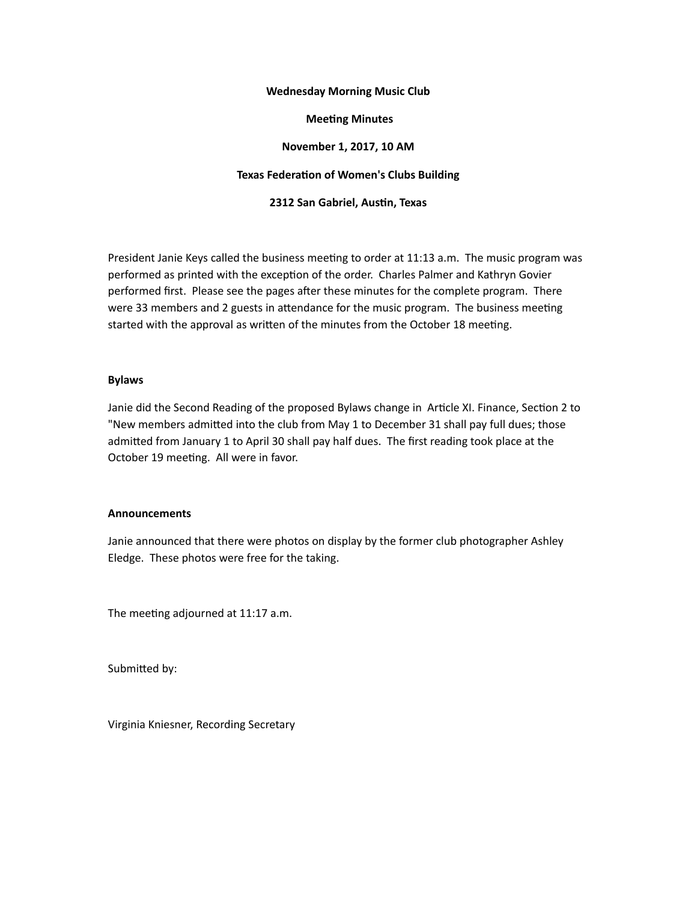#### **Wednesday Morning Music Club**

#### **Meeting Minutes**

## **November 1, 2017, 10 AM**

## **Texas Federation of Women's Clubs Building**

**2312 San Gabriel, Austin, Texas** 

President Janie Keys called the business meeting to order at 11:13 a.m. The music program was performed as printed with the exception of the order. Charles Palmer and Kathryn Govier performed first. Please see the pages after these minutes for the complete program. There were 33 members and 2 guests in attendance for the music program. The business meeting started with the approval as written of the minutes from the October 18 meeting.

#### **Bylaws**

Janie did the Second Reading of the proposed Bylaws change in Article XI. Finance, Section 2 to "New members admitted into the club from May 1 to December 31 shall pay full dues; those admitted from January 1 to April 30 shall pay half dues. The first reading took place at the October 19 meeting. All were in favor.

## **Announcements**

Janie announced that there were photos on display by the former club photographer Ashley Eledge. These photos were free for the taking.

The meeting adjourned at 11:17 a.m.

Submitted by:

Virginia Kniesner, Recording Secretary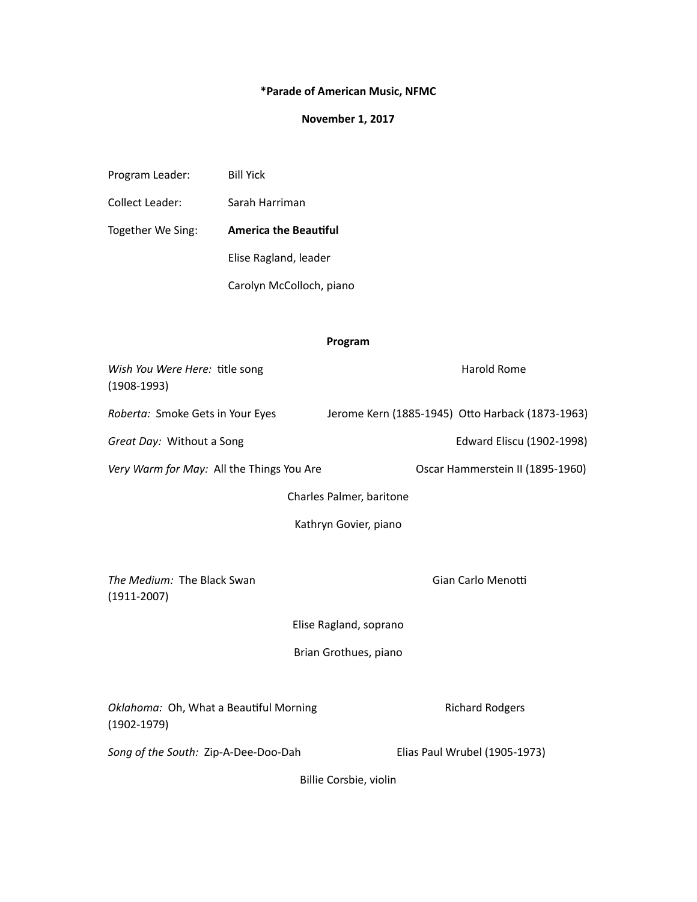# **\*Parade of American Music, NFMC**

# **November 1, 2017**

| Program Leader:                                           | <b>Bill Yick</b>             |                          |                                                  |
|-----------------------------------------------------------|------------------------------|--------------------------|--------------------------------------------------|
| Collect Leader:                                           | Sarah Harriman               |                          |                                                  |
| Together We Sing:                                         | <b>America the Beautiful</b> |                          |                                                  |
|                                                           | Elise Ragland, leader        |                          |                                                  |
| Carolyn McColloch, piano                                  |                              |                          |                                                  |
|                                                           |                              |                          |                                                  |
|                                                           |                              | Program                  |                                                  |
| Wish You Were Here: title song<br>$(1908-1993)$           |                              |                          | <b>Harold Rome</b>                               |
| Roberta: Smoke Gets in Your Eyes                          |                              |                          | Jerome Kern (1885-1945) Otto Harback (1873-1963) |
| Great Day: Without a Song                                 |                              |                          | Edward Eliscu (1902-1998)                        |
| Very Warm for May: All the Things You Are                 |                              |                          | Oscar Hammerstein II (1895-1960)                 |
|                                                           |                              | Charles Palmer, baritone |                                                  |
|                                                           |                              | Kathryn Govier, piano    |                                                  |
|                                                           |                              |                          |                                                  |
| The Medium: The Black Swan<br>$(1911 - 2007)$             |                              |                          | Gian Carlo Menotti                               |
|                                                           |                              | Elise Ragland, soprano   |                                                  |
|                                                           |                              | Brian Grothues, piano    |                                                  |
| Oklahoma: Oh, What a Beautiful Morning<br>$(1902 - 1979)$ |                              |                          | <b>Richard Rodgers</b>                           |
| Song of the South: Zip-A-Dee-Doo-Dah                      |                              |                          | Elias Paul Wrubel (1905-1973)                    |
|                                                           |                              | Billie Corsbie, violin   |                                                  |